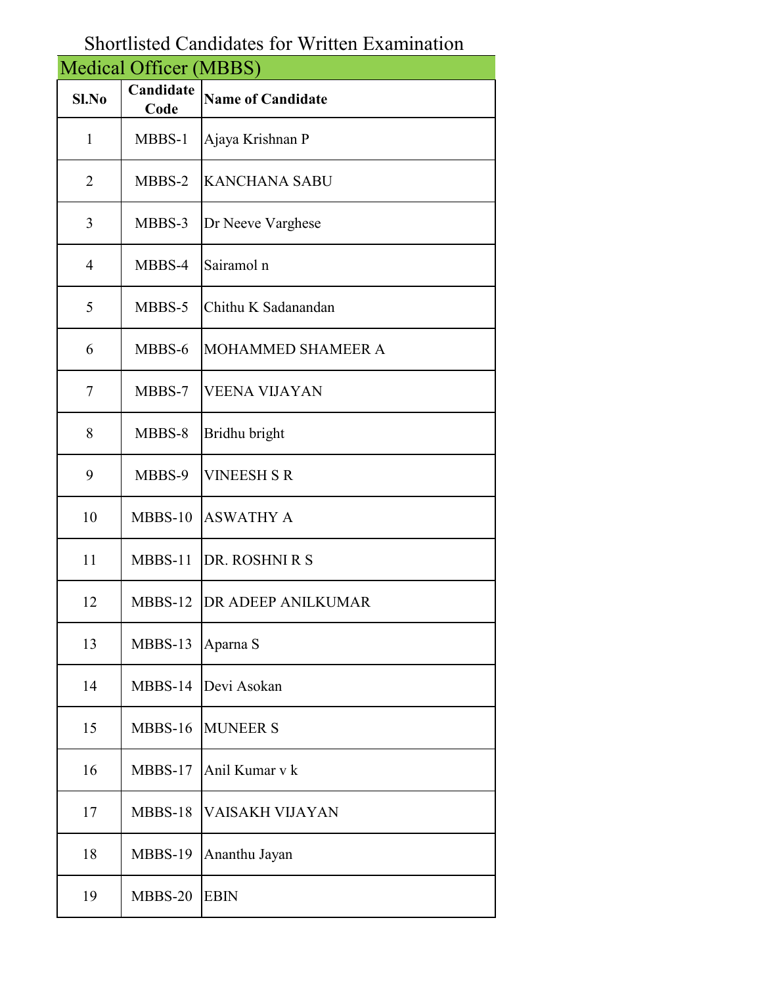## Shortlisted Candidates for Written Examination

|                | <b>Medical Officer (MBBS)</b> |                          |
|----------------|-------------------------------|--------------------------|
| $Sl$ . No      | Candidate<br>Code             | <b>Name of Candidate</b> |
| $\mathbf{1}$   | MBBS-1                        | Ajaya Krishnan P         |
| $\overline{2}$ | MBBS-2                        | <b>KANCHANA SABU</b>     |
| 3              | MBBS-3                        | Dr Neeve Varghese        |
| $\overline{4}$ | MBBS-4                        | Sairamol n               |
| 5              | MBBS-5                        | Chithu K Sadanandan      |
| 6              | MBBS-6                        | MOHAMMED SHAMEER A       |
| 7              | MBBS-7                        | <b>VEENA VIJAYAN</b>     |
| 8              | MBBS-8                        | Bridhu bright            |
| 9              | MBBS-9                        | <b>VINEESH S R</b>       |
| 10             | MBBS-10                       | <b>ASWATHY A</b>         |
| 11             | MBBS-11                       | DR. ROSHNI R S           |
| 12             | MBBS-12                       | DR ADEEP ANILKUMAR       |
| 13             | MBBS-13                       | Aparna S                 |
| 14             | MBBS-14                       | Devi Asokan              |
| 15             | MBBS-16                       | <b>MUNEER S</b>          |
| 16             | MBBS-17                       | Anil Kumar v k           |
| 17             | MBBS-18                       | VAISAKH VIJAYAN          |
| 18             | MBBS-19                       | Ananthu Jayan            |
| 19             | MBBS-20                       | <b>EBIN</b>              |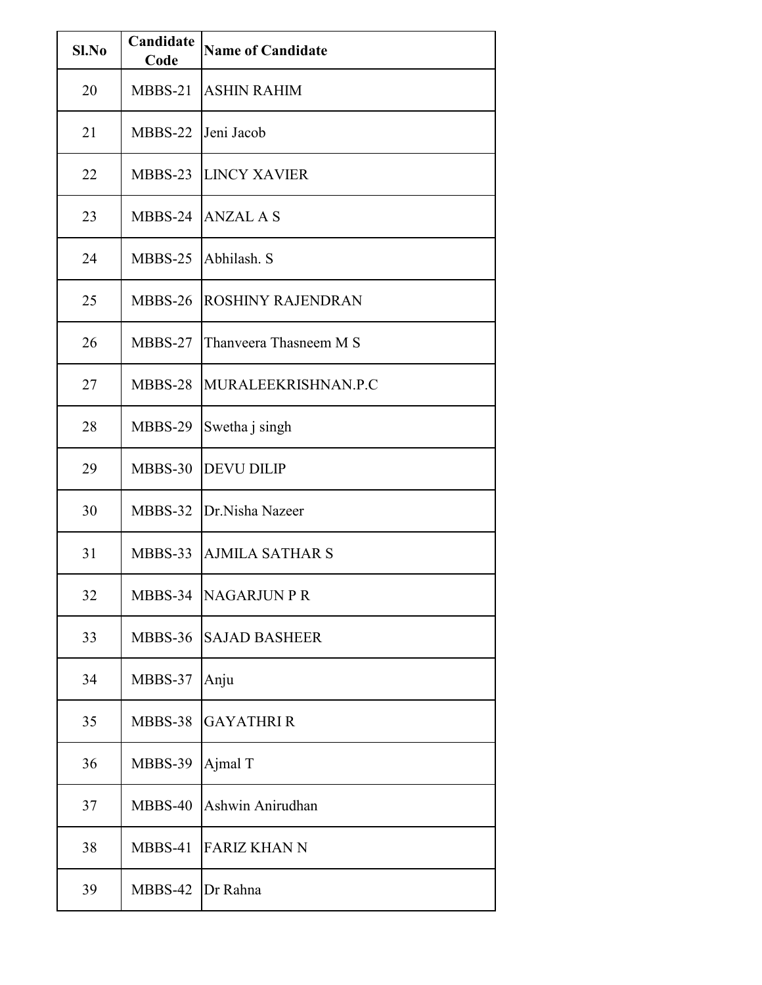| Sl.No | Candidate<br>Code | <b>Name of Candidate</b> |
|-------|-------------------|--------------------------|
| 20    | MBBS-21           | <b>ASHIN RAHIM</b>       |
| 21    | MBBS-22           | Jeni Jacob               |
| 22    | MBBS-23           | <b>LINCY XAVIER</b>      |
| 23    | MBBS-24           | <b>ANZAL A S</b>         |
| 24    | MBBS-25           | Abhilash. S              |
| 25    | MBBS-26           | <b>ROSHINY RAJENDRAN</b> |
| 26    | MBBS-27           | Thanveera Thasneem M S   |
| 27    | MBBS-28           | MURALEEKRISHNAN.P.C      |
| 28    | MBBS-29           | Swetha j singh           |
| 29    | MBBS-30           | <b>DEVU DILIP</b>        |
| 30    | MBBS-32           | Dr.Nisha Nazeer          |
| 31    | MBBS-33           | <b>AJMILA SATHAR S</b>   |
| 32    | MBBS-34           | <b>NAGARJUN P R</b>      |
| 33    | MBBS-36           | <b>SAJAD BASHEER</b>     |
| 34    | MBBS-37           | Anju                     |
| 35    | MBBS-38           | <b>GAYATHRIR</b>         |
| 36    | MBBS-39           | Ajmal T                  |
| 37    | MBBS-40           | Ashwin Anirudhan         |
| 38    | MBBS-41           | <b>FARIZ KHAN N</b>      |
| 39    | MBBS-42           | Dr Rahna                 |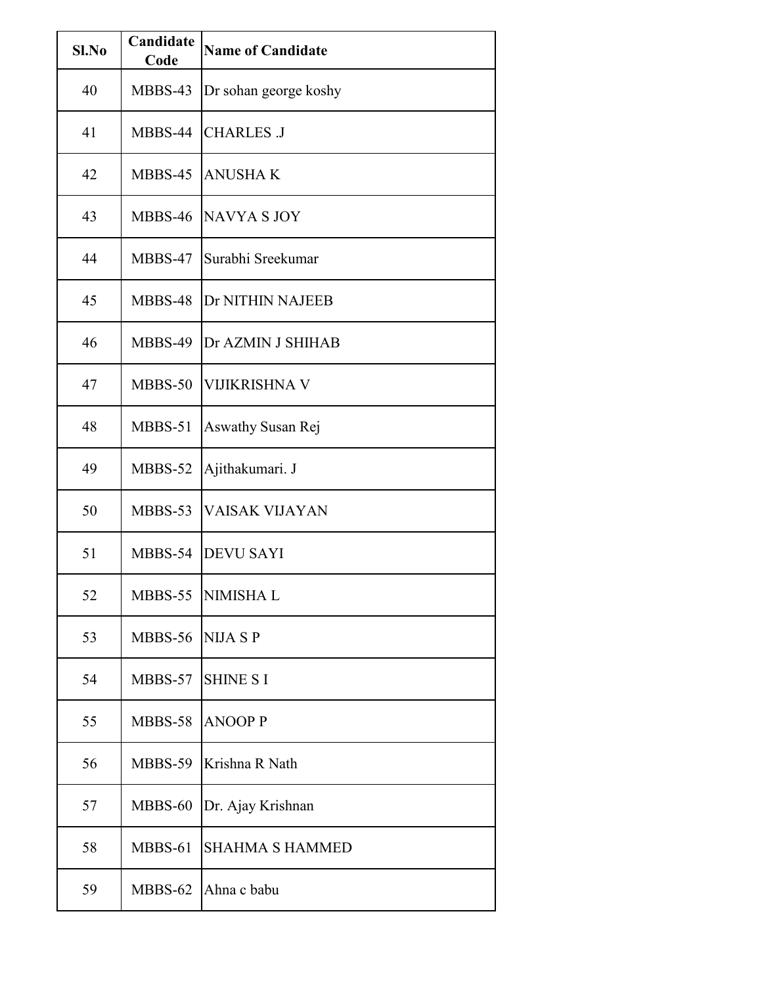| Sl.No | Candidate<br>Code | <b>Name of Candidate</b> |
|-------|-------------------|--------------------------|
| 40    | MBBS-43           | Dr sohan george koshy    |
| 41    | MBBS-44           | <b>CHARLES J</b>         |
| 42    | MBBS-45           | <b>ANUSHAK</b>           |
| 43    | MBBS-46           | NAVYA S JOY              |
| 44    | MBBS-47           | Surabhi Sreekumar        |
| 45    | MBBS-48           | <b>Dr NITHIN NAJEEB</b>  |
| 46    | MBBS-49           | Dr AZMIN J SHIHAB        |
| 47    | MBBS-50           | <b>VIJIKRISHNA V</b>     |
| 48    | MBBS-51           | Aswathy Susan Rej        |
| 49    | MBBS-52           | Ajithakumari. J          |
| 50    | MBBS-53           | <b>VAISAK VIJAYAN</b>    |
| 51    | MBBS-54           | <b>DEVU SAYI</b>         |
| 52    | MBBS-55           | <b>NIMISHAL</b>          |
| 53    | <b>MBBS-56</b>    | <b>NIJA S P</b>          |
| 54    | MBBS-57           | <b>SHINE S I</b>         |
| 55    | MBBS-58           | <b>ANOOP P</b>           |
| 56    | MBBS-59           | Krishna R Nath           |
| 57    | MBBS-60           | Dr. Ajay Krishnan        |
| 58    | MBBS-61           | <b>SHAHMA S HAMMED</b>   |
| 59    | MBBS-62           | Ahna c babu              |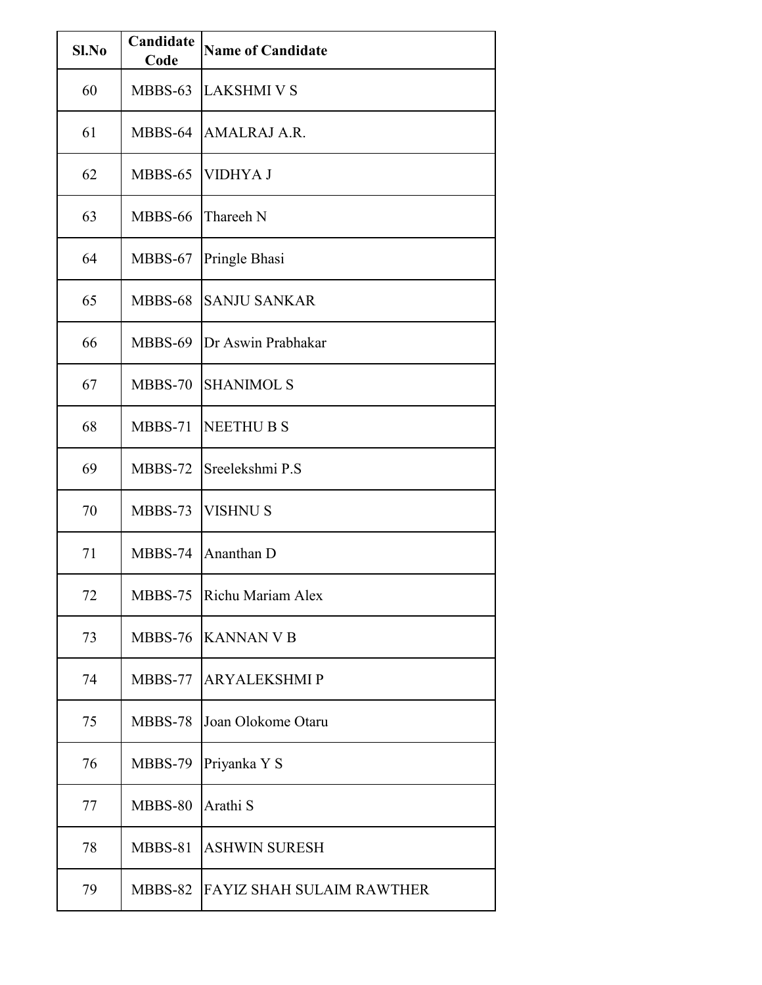| Sl.No | Candidate<br>Code | <b>Name of Candidate</b>         |
|-------|-------------------|----------------------------------|
| 60    | MBBS-63           | <b>LAKSHMI V S</b>               |
| 61    | MBBS-64           | AMALRAJ A.R.                     |
| 62    | MBBS-65           | <b>VIDHYA J</b>                  |
| 63    | MBBS-66           | Thareeh N                        |
| 64    | MBBS-67           | Pringle Bhasi                    |
| 65    | MBBS-68           | <b>SANJU SANKAR</b>              |
| 66    | MBBS-69           | Dr Aswin Prabhakar               |
| 67    | $MBBS-70$         | <b>SHANIMOL S</b>                |
| 68    | MBBS-71           | <b>NEETHU B S</b>                |
| 69    | MBBS-72           | Sreelekshmi P.S                  |
| 70    | MBBS-73           | <b>VISHNU S</b>                  |
| 71    | MBBS-74           | Ananthan D                       |
| 72    | MBBS-75           | Richu Mariam Alex                |
| 73    | MBBS-76           | <b>KANNAN V B</b>                |
| 74    | MBBS-77           | <b>ARYALEKSHMIP</b>              |
| 75    | MBBS-78           | Joan Olokome Otaru               |
| 76    | MBBS-79           | Priyanka Y S                     |
| 77    | MBBS-80           | Arathi S                         |
| 78    | MBBS-81           | <b>ASHWIN SURESH</b>             |
| 79    | MBBS-82           | <b>FAYIZ SHAH SULAIM RAWTHER</b> |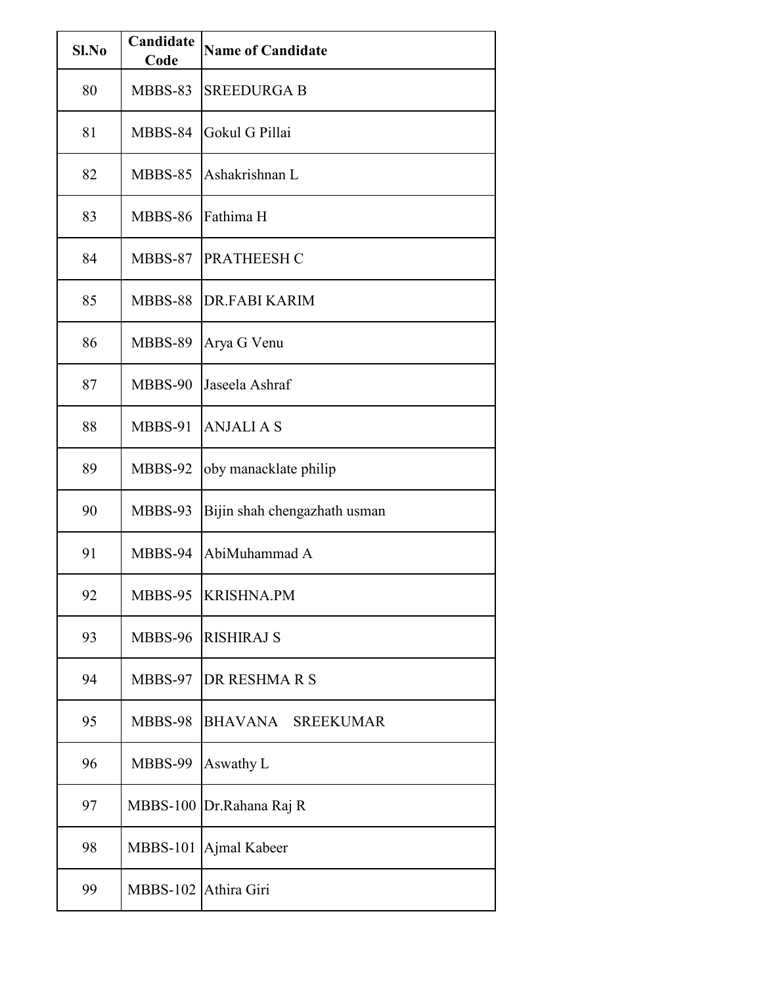| $Sl$ . No | Candidate<br>Code    | <b>Name of Candidate</b>           |
|-----------|----------------------|------------------------------------|
| 80        | MBBS-83              | <b>SREEDURGA B</b>                 |
| 81        | MBBS-84              | Gokul G Pillai                     |
| 82        | MBBS-85              | Ashakrishnan L                     |
| 83        | <b>MBBS-86</b>       | Fathima H                          |
| 84        | MBBS-87              | <b>PRATHEESH C</b>                 |
| 85        | MBBS-88              | <b>DR.FABI KARIM</b>               |
| 86        | MBBS-89              | Arya G Venu                        |
| 87        | MBBS-90              | Jaseela Ashraf                     |
| 88        | MBBS-91              | <b>ANJALIAS</b>                    |
| 89        | MBBS-92              | oby manacklate philip              |
| 90        | MBBS-93              | Bijin shah chengazhath usman       |
| 91        | MBBS-94              | AbiMuhammad A                      |
| 92        | MBBS-95              | <b>KRISHNA.PM</b>                  |
| 93        | MBBS-96              | <b>RISHIRAJ S</b>                  |
| 94        | MBBS-97              | DR RESHMARS                        |
| 95        | MBBS-98              | <b>BHAVANA</b><br><b>SREEKUMAR</b> |
| 96        | MBBS-99              | Aswathy L                          |
| 97        | <b>MBBS-100</b>      | Dr.Rahana Raj R                    |
| 98        | <b>MBBS-101</b>      | Ajmal Kabeer                       |
| 99        | MBBS-102 Athira Giri |                                    |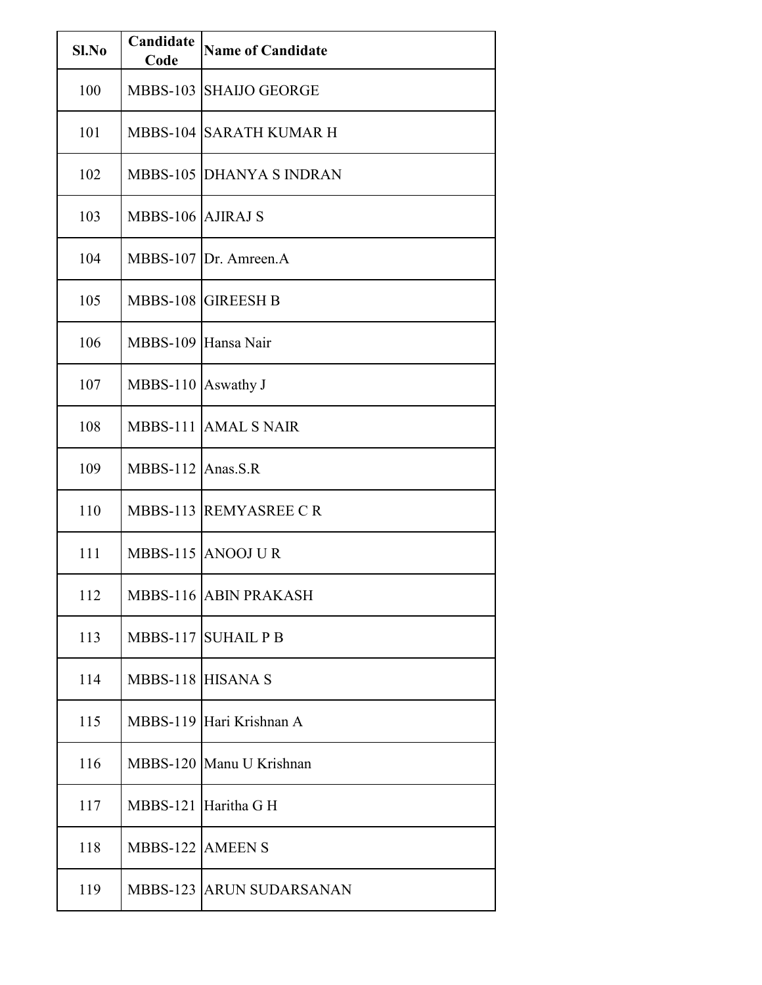| Sl.No | Candidate<br>Code   | <b>Name of Candidate</b>        |
|-------|---------------------|---------------------------------|
| 100   | <b>MBBS-103</b>     | <b>SHAIJO GEORGE</b>            |
| 101   |                     | <b>MBBS-104 SARATH KUMAR H</b>  |
| 102   |                     | <b>MBBS-105 DHANYA S INDRAN</b> |
| 103   | MBBS-106 AJIRAJ S   |                                 |
| 104   |                     | MBBS-107 Dr. Amreen.A           |
| 105   |                     | MBBS-108 GIREESH B              |
| 106   | MBBS-109 Hansa Nair |                                 |
| 107   | MBBS-110 Aswathy J  |                                 |
| 108   | <b>MBBS-111</b>     | <b>AMAL S NAIR</b>              |
| 109   | MBBS-112 Anas.S.R   |                                 |
| 110   |                     | MBBS-113 REMYASREE CR           |
| 111   |                     | MBBS-115 ANOOJ UR               |
| 112   |                     | MBBS-116 ABIN PRAKASH           |
| 113   |                     | MBBS-117 SUHAIL P B             |
| 114   | MBBS-118 HISANA S   |                                 |
| 115   |                     | MBBS-119 Hari Krishnan A        |
| 116   |                     | MBBS-120 Manu U Krishnan        |
| 117   | <b>MBBS-121</b>     | Haritha G H                     |
| 118   | MBBS-122 AMEEN S    |                                 |
| 119   |                     | <b>MBBS-123 ARUN SUDARSANAN</b> |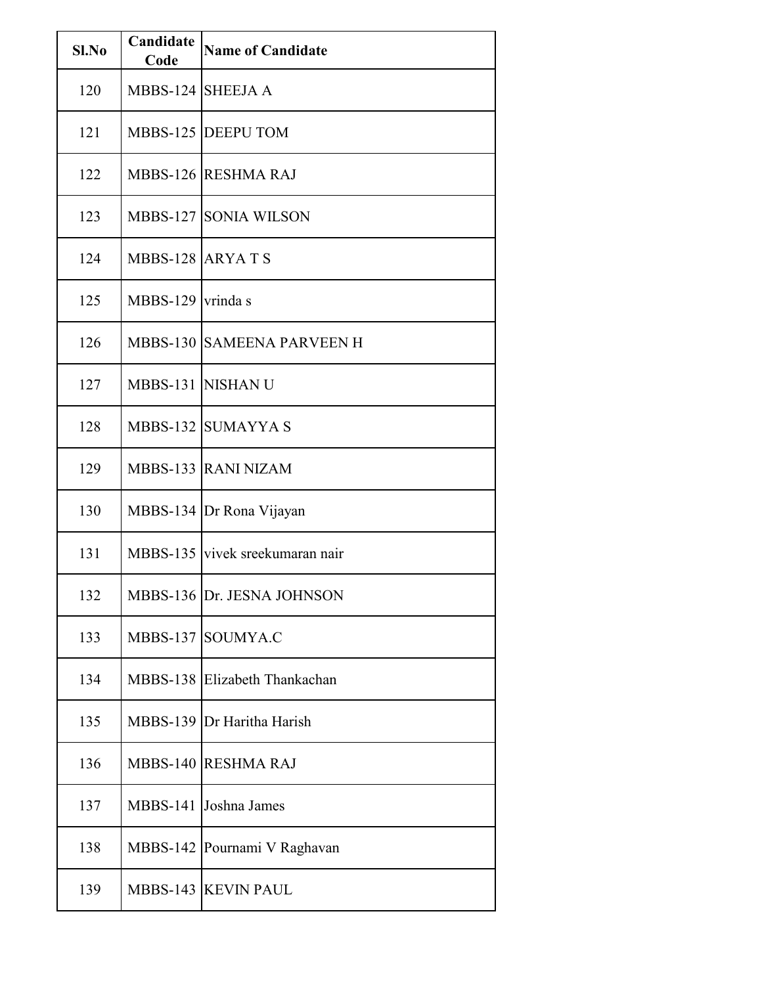| Sl.No | Candidate<br>Code | <b>Name of Candidate</b>        |
|-------|-------------------|---------------------------------|
| 120   | MBBS-124 SHEEJA A |                                 |
| 121   |                   | MBBS-125 DEEPU TOM              |
| 122   |                   | MBBS-126 RESHMA RAJ             |
| 123   |                   | <b>MBBS-127 SONIA WILSON</b>    |
| 124   | MBBS-128 ARYATS   |                                 |
| 125   | MBBS-129 vrinda s |                                 |
| 126   |                   | MBBS-130 SAMEENA PARVEEN H      |
| 127   |                   | <b>MBBS-131 NISHANU</b>         |
| 128   |                   | MBBS-132 SUMAYYA S              |
| 129   |                   | MBBS-133 RANI NIZAM             |
| 130   |                   | MBBS-134 Dr Rona Vijayan        |
| 131   |                   | MBBS-135 vivek sreekumaran nair |
| 132   |                   | MBBS-136 Dr. JESNA JOHNSON      |
| 133   |                   | MBBS-137 SOUMYA.C               |
| 134   |                   | MBBS-138 Elizabeth Thankachan   |
| 135   |                   | MBBS-139 Dr Haritha Harish      |
| 136   |                   | MBBS-140 RESHMA RAJ             |
| 137   | <b>MBBS-141</b>   | Joshna James                    |
| 138   |                   | MBBS-142 Pournami V Raghavan    |
| 139   |                   | MBBS-143 KEVIN PAUL             |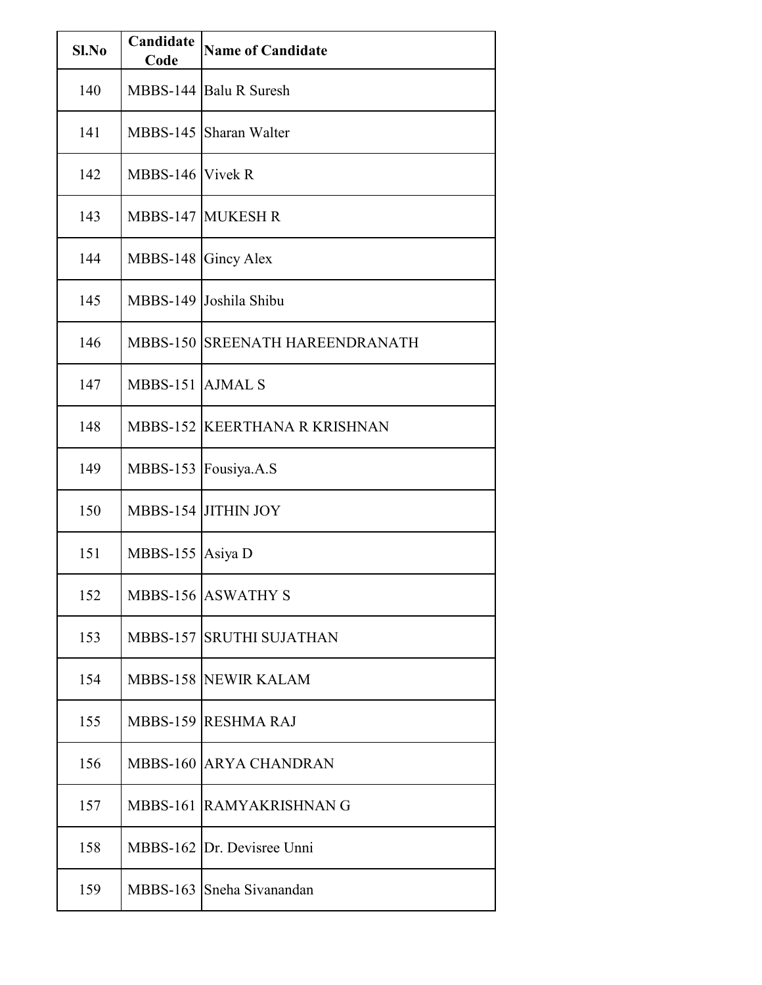| $SL$ No | Candidate<br>Code   | <b>Name of Candidate</b>        |
|---------|---------------------|---------------------------------|
| 140     |                     | MBBS-144 Balu R Suresh          |
| 141     |                     | MBBS-145 Sharan Walter          |
| 142     | MBBS-146 Vivek R    |                                 |
| 143     |                     | <b>MBBS-147 MUKESH R</b>        |
| 144     | MBBS-148 Gincy Alex |                                 |
| 145     |                     | MBBS-149 Joshila Shibu          |
| 146     |                     | MBBS-150 SREENATH HAREENDRANATH |
| 147     | MBBS-151 AJMAL S    |                                 |
| 148     |                     | MBBS-152 KEERTHANA R KRISHNAN   |
| 149     |                     | MBBS-153 Fousiya.A.S            |
| 150     |                     | MBBS-154 JITHIN JOY             |
| 151     | MBBS-155 Asiya D    |                                 |
| 152     |                     | <b>MBBS-156 ASWATHY S</b>       |
| 153     |                     | <b>MBBS-157 SRUTHI SUJATHAN</b> |
| 154     |                     | <b>MBBS-158 NEWIR KALAM</b>     |
| 155     |                     | MBBS-159 RESHMA RAJ             |
| 156     |                     | MBBS-160 ARYA CHANDRAN          |
| 157     |                     | MBBS-161 RAMYAKRISHNAN G        |
| 158     |                     | MBBS-162 Dr. Devisree Unni      |
| 159     |                     | MBBS-163 Sneha Sivanandan       |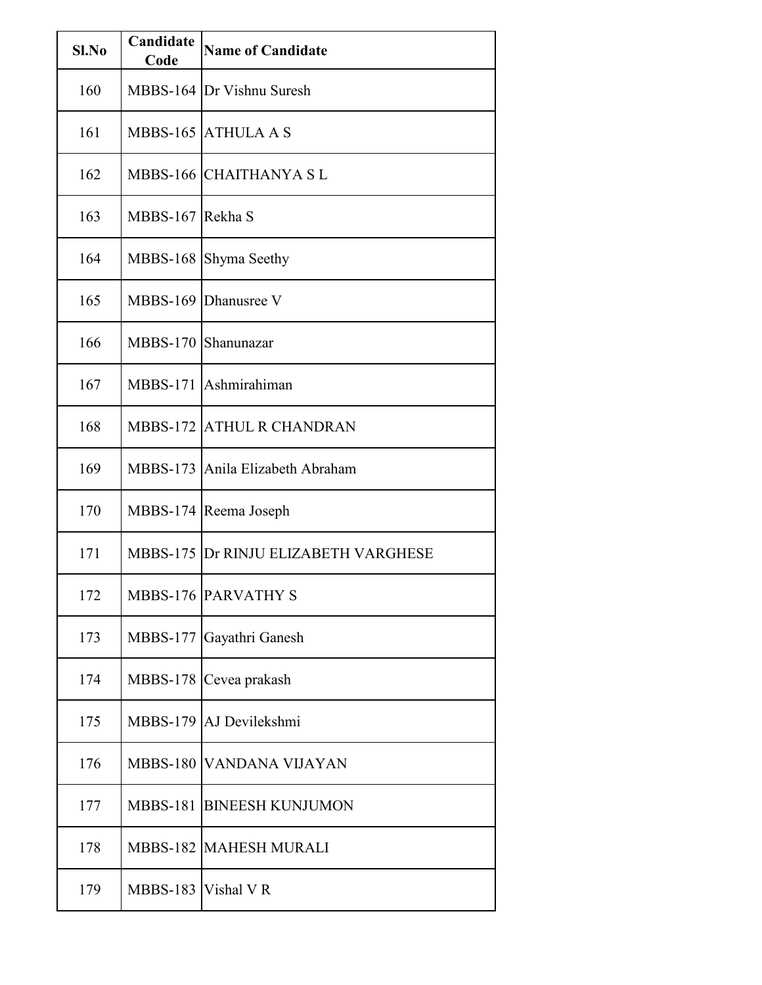| Sl.No | Candidate<br>Code     | <b>Name of Candidate</b>                    |
|-------|-----------------------|---------------------------------------------|
| 160   |                       | MBBS-164 Dr Vishnu Suresh                   |
| 161   |                       | MBBS-165 ATHULA A S                         |
| 162   | <b>MBBS-166</b>       | <b>CHAITHANYA SL</b>                        |
| 163   | <b>MBBS-167</b>       | Rekha S                                     |
| 164   | <b>MBBS-168</b>       | Shyma Seethy                                |
| 165   |                       | MBBS-169 Dhanusree V                        |
| 166   | <b>MBBS-170</b>       | Shanunazar                                  |
| 167   | <b>MBBS-171</b>       | Ashmirahiman                                |
| 168   | <b>MBBS-172</b>       | <b>ATHUL R CHANDRAN</b>                     |
| 169   | <b>MBBS-173</b>       | Anila Elizabeth Abraham                     |
| 170   |                       | MBBS-174 Reema Joseph                       |
| 171   |                       | <b>MBBS-175 Dr RINJU ELIZABETH VARGHESE</b> |
| 172   |                       | <b>MBBS-176 PARVATHY S</b>                  |
| 173   | <b>MBBS-177</b>       | Gayathri Ganesh                             |
| 174   | <b>MBBS-178</b>       | Cevea prakash                               |
| 175   |                       | MBBS-179 AJ Devilekshmi                     |
| 176   | <b>MBBS-180</b>       | VANDANA VIJAYAN                             |
| 177   | <b>MBBS-181</b>       | <b>BINEESH KUNJUMON</b>                     |
| 178   |                       | <b>MBBS-182 MAHESH MURALI</b>               |
| 179   | MBBS-183   Vishal V R |                                             |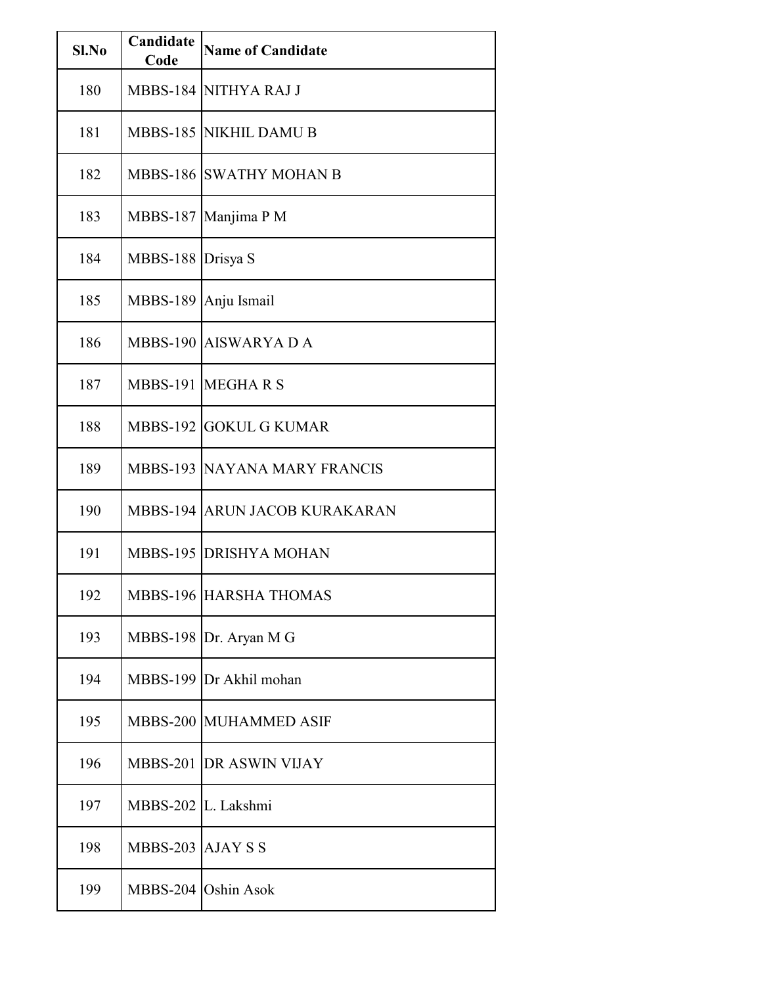| Sl.No | Candidate<br>Code   | <b>Name of Candidate</b>            |
|-------|---------------------|-------------------------------------|
| 180   |                     | MBBS-184 NITHYA RAJ J               |
| 181   |                     | MBBS-185 NIKHIL DAMU B              |
| 182   |                     | <b>MBBS-186 SWATHY MOHAN B</b>      |
| 183   | <b>MBBS-187</b>     | Manjima P M                         |
| 184   | MBBS-188 Drisya S   |                                     |
| 185   |                     | MBBS-189 Anju Ismail                |
| 186   |                     | MBBS-190 AISWARYA D A               |
| 187   |                     | MBBS-191 MEGHARS                    |
| 188   | <b>MBBS-192</b>     | <b>GOKUL G KUMAR</b>                |
| 189   |                     | <b>MBBS-193 NAYANA MARY FRANCIS</b> |
| 190   |                     | MBBS-194 ARUN JACOB KURAKARAN       |
| 191   |                     | <b>MBBS-195 DRISHYA MOHAN</b>       |
| 192   |                     | <b>MBBS-196 HARSHA THOMAS</b>       |
| 193   |                     | MBBS-198 Dr. Aryan M G              |
| 194   |                     | MBBS-199 Dr Akhil mohan             |
| 195   |                     | MBBS-200 MUHAMMED ASIF              |
| 196   |                     | MBBS-201 DR ASWIN VIJAY             |
| 197   | MBBS-202 L. Lakshmi |                                     |
| 198   | MBBS-203 AJAY S S   |                                     |
| 199   |                     | MBBS-204 Oshin Asok                 |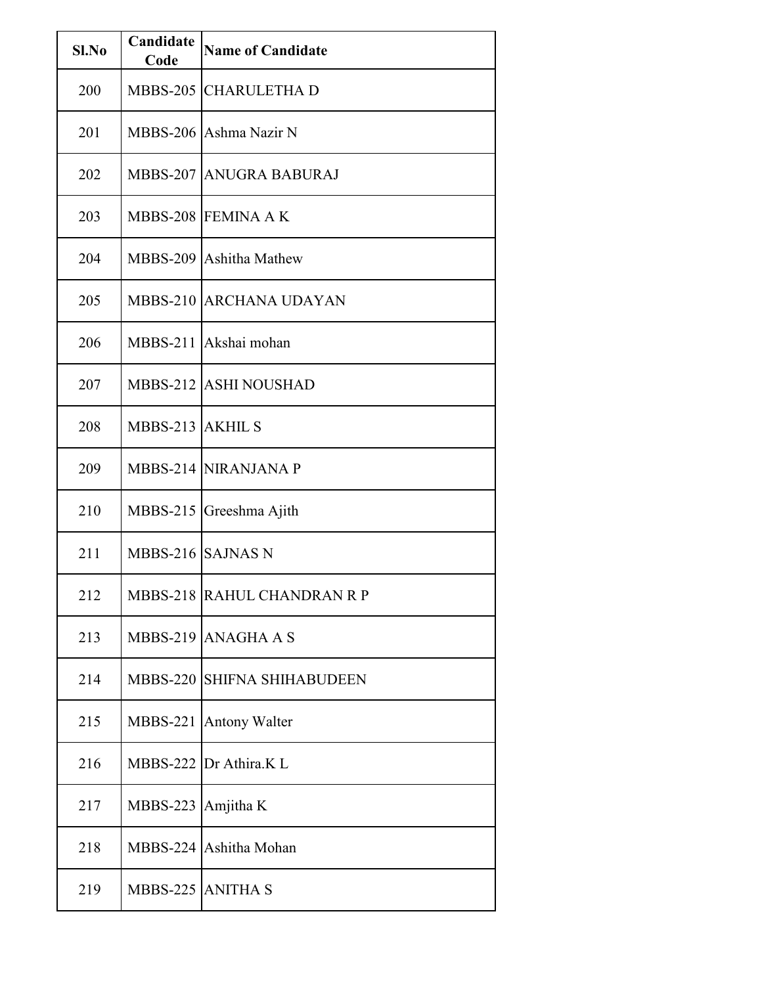| Sl.No | Candidate<br>Code  | <b>Name of Candidate</b>    |
|-------|--------------------|-----------------------------|
| 200   |                    | MBBS-205 CHARULETHA D       |
| 201   |                    | MBBS-206 Ashma Nazir N      |
| 202   |                    | MBBS-207 ANUGRA BABURAJ     |
| 203   |                    | MBBS-208 FEMINA A K         |
| 204   |                    | MBBS-209 Ashitha Mathew     |
| 205   |                    | MBBS-210 ARCHANA UDAYAN     |
| 206   |                    | MBBS-211 Akshai mohan       |
| 207   |                    | MBBS-212 ASHI NOUSHAD       |
| 208   | MBBS-213 AKHIL S   |                             |
| 209   |                    | <b>MBBS-214 NIRANJANA P</b> |
| 210   | <b>MBBS-215</b>    | Greeshma Ajith              |
| 211   | MBBS-216 SAJNAS N  |                             |
| 212   |                    | MBBS-218 RAHUL CHANDRAN R P |
| 213   |                    | MBBS-219 ANAGHA A S         |
| 214   |                    | MBBS-220 SHIFNA SHIHABUDEEN |
| 215   | <b>MBBS-221</b>    | <b>Antony Walter</b>        |
| 216   |                    | MBBS-222 Dr Athira.K L      |
| 217   | MBBS-223 Amjitha K |                             |
| 218   |                    | MBBS-224 Ashitha Mohan      |
| 219   | MBBS-225 ANITHA S  |                             |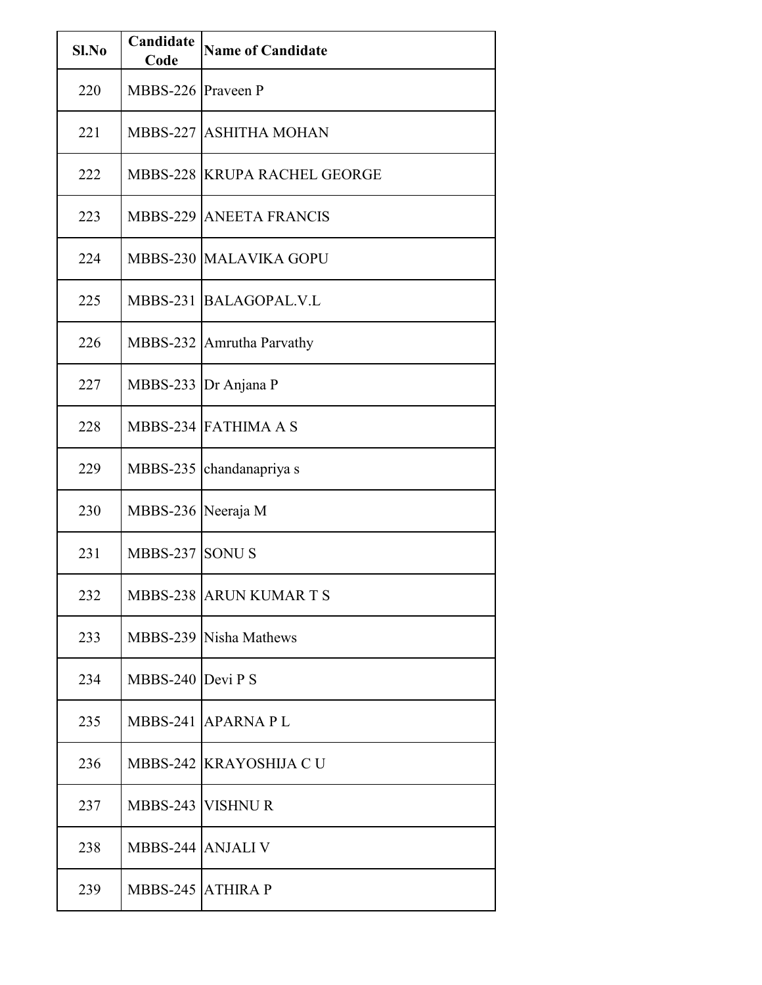| Sl.No | Candidate<br>Code         | <b>Name of Candidate</b>            |
|-------|---------------------------|-------------------------------------|
| 220   | MBBS-226 Praveen P        |                                     |
| 221   |                           | MBBS-227 ASHITHA MOHAN              |
| 222   |                           | <b>MBBS-228 KRUPA RACHEL GEORGE</b> |
| 223   |                           | <b>MBBS-229 ANEETA FRANCIS</b>      |
| 224   |                           | MBBS-230 MALAVIKA GOPU              |
| 225   |                           | MBBS-231 BALAGOPAL.V.L              |
| 226   |                           | MBBS-232 Amrutha Parvathy           |
| 227   |                           | MBBS-233 Dr Anjana P                |
| 228   |                           | MBBS-234 FATHIMA A S                |
| 229   | <b>MBBS-235</b>           | chandanapriya s                     |
| 230   | MBBS-236 Neeraja M        |                                     |
| 231   | MBBS-237 SONUS            |                                     |
| 232   |                           | <b>MBBS-238 ARUN KUMAR T S</b>      |
| 233   |                           | MBBS-239 Nisha Mathews              |
| 234   | MBBS-240 $\vert$ Devi P S |                                     |
| 235   |                           | MBBS-241 APARNA PL                  |
| 236   |                           | MBBS-242 KRAYOSHIJA CU              |
| 237   |                           | MBBS-243 VISHNUR                    |
| 238   | MBBS-244 ANJALI V         |                                     |
| 239   | MBBS-245 ATHIRA P         |                                     |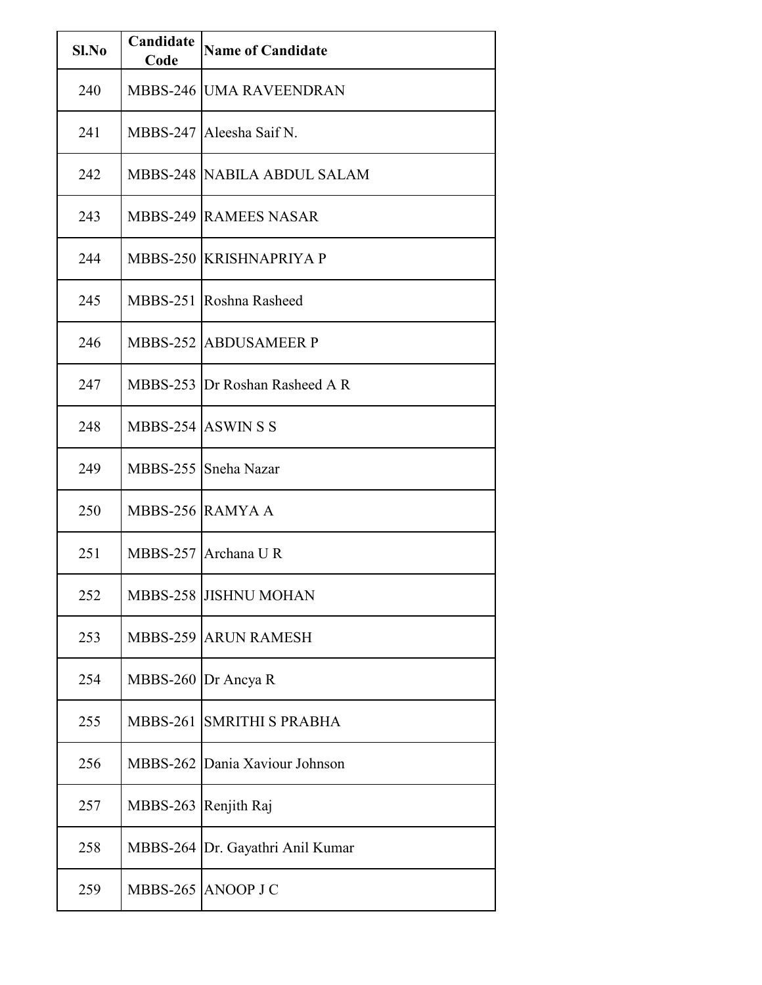| Sl.No | Candidate<br>Code | <b>Name of Candidate</b>           |
|-------|-------------------|------------------------------------|
| 240   |                   | <b>MBBS-246 UMA RAVEENDRAN</b>     |
| 241   |                   | MBBS-247 Aleesha Saif N.           |
| 242   |                   | <b>MBBS-248 NABILA ABDUL SALAM</b> |
| 243   |                   | <b>MBBS-249 RAMEES NASAR</b>       |
| 244   |                   | MBBS-250 KRISHNAPRIYA P            |
| 245   |                   | MBBS-251 Roshna Rasheed            |
| 246   |                   | <b>MBBS-252 ABDUSAMEER P</b>       |
| 247   |                   | MBBS-253 Dr Roshan Rasheed A R     |
| 248   |                   | MBBS-254 ASWINSS                   |
| 249   |                   | MBBS-255 Sneha Nazar               |
| 250   |                   | MBBS-256 RAMYA A                   |
| 251   |                   | MBBS-257 Archana U R               |
| 252   |                   | MBBS-258 JISHNU MOHAN              |
| 253   |                   | <b>MBBS-259 ARUN RAMESH</b>        |
| 254   |                   | MBBS-260 $Dr$ Ancya R              |
| 255   | <b>MBBS-261</b>   | <b>SMRITHI S PRABHA</b>            |
| 256   |                   | MBBS-262 Dania Xaviour Johnson     |
| 257   | <b>MBBS-263</b>   | Renjith Raj                        |
| 258   |                   | MBBS-264 Dr. Gayathri Anil Kumar   |
| 259   |                   | MBBS-265 ANOOP J C                 |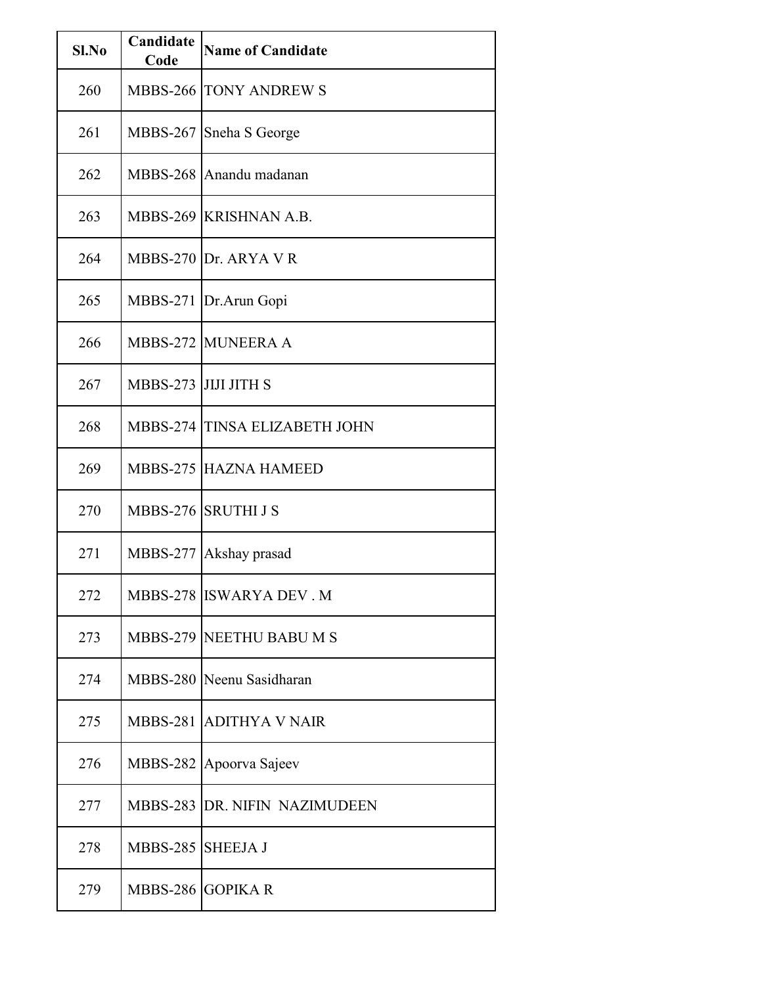| Sl.No | Candidate<br>Code    | <b>Name of Candidate</b>             |
|-------|----------------------|--------------------------------------|
| 260   |                      | <b>MBBS-266 TONY ANDREWS</b>         |
| 261   |                      | MBBS-267 Sneha S George              |
| 262   |                      | MBBS-268 Anandu madanan              |
| 263   |                      | MBBS-269 KRISHNAN A.B.               |
| 264   |                      | MBBS-270 Dr. ARYA V R                |
| 265   | <b>MBBS-271</b>      | Dr.Arun Gopi                         |
| 266   |                      | <b>MBBS-272 MUNEERA A</b>            |
| 267   | MBBS-273 JIJJ JITH S |                                      |
| 268   |                      | MBBS-274 TINSA ELIZABETH JOHN        |
| 269   |                      | <b>MBBS-275 HAZNA HAMEED</b>         |
| 270   |                      | MBBS-276 SRUTHI J S                  |
| 271   |                      | MBBS-277 Akshay prasad               |
| 272   |                      | MBBS-278 ISWARYA DEV. M              |
| 273   |                      | MBBS-279 NEETHU BABU M S             |
| 274   |                      | MBBS-280 Neenu Sasidharan            |
| 275   |                      | MBBS-281 ADITHYA V NAIR              |
| 276   | MBBS-282             | Apoorva Sajeev                       |
| 277   |                      | <b>MBBS-283 DR. NIFIN NAZIMUDEEN</b> |
| 278   | MBBS-285 SHEEJA J    |                                      |
| 279   | MBBS-286 GOPIKAR     |                                      |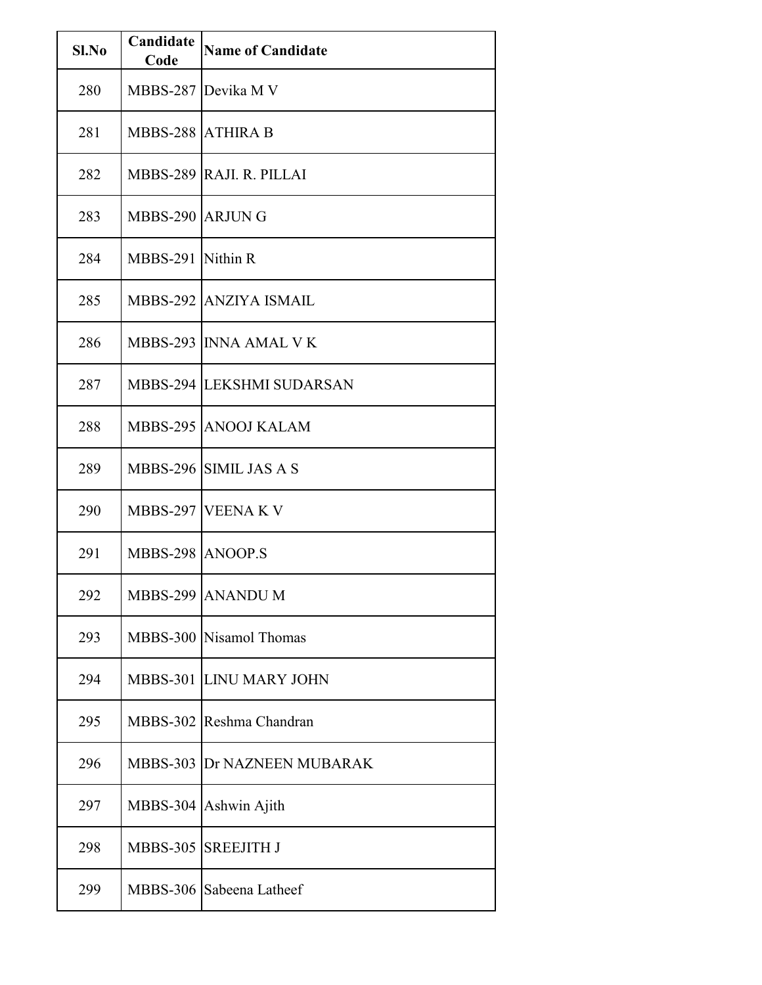| Sl.No | Candidate<br>Code        | <b>Name of Candidate</b>    |
|-------|--------------------------|-----------------------------|
| 280   |                          | MBBS-287 Devika M V         |
| 281   | <b>MBBS-288 ATHIRA B</b> |                             |
| 282   |                          | MBBS-289 RAJI. R. PILLAI    |
| 283   | MBBS-290 ARJUNG          |                             |
| 284   | MBBS-291 Nithin R        |                             |
| 285   |                          | MBBS-292 ANZIYA ISMAIL      |
| 286   |                          | MBBS-293 INNA AMAL V K      |
| 287   |                          | MBBS-294 LEKSHMI SUDARSAN   |
| 288   |                          | MBBS-295 ANOOJ KALAM        |
| 289   |                          | MBBS-296 SIMIL JAS A S      |
| 290   |                          | MBBS-297 VEENA K V          |
| 291   | MBBS-298 ANOOP.S         |                             |
| 292   |                          | MBBS-299 ANANDU M           |
| 293   |                          | MBBS-300 Nisamol Thomas     |
| 294   |                          | MBBS-301 LINU MARY JOHN     |
| 295   |                          | MBBS-302 Reshma Chandran    |
| 296   |                          | MBBS-303 Dr NAZNEEN MUBARAK |
| 297   |                          | MBBS-304 Ashwin Ajith       |
| 298   | <b>MBBS-305</b>          | <b>SREEJITH J</b>           |
| 299   |                          | MBBS-306 Sabeena Latheef    |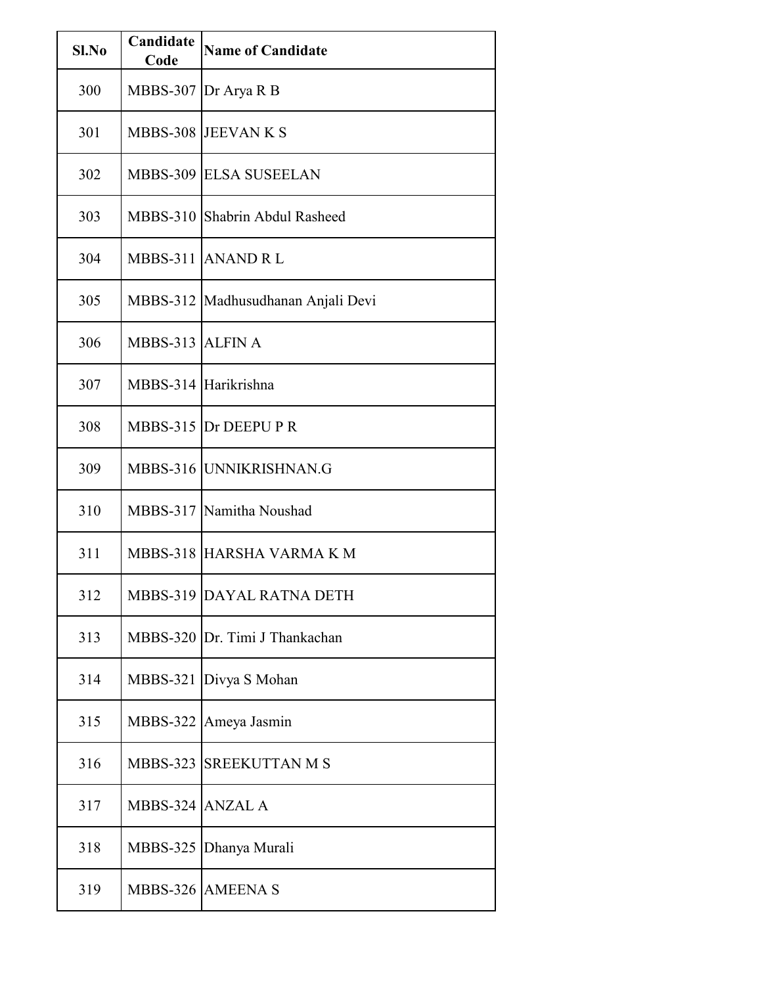| Sl.No | Candidate<br>Code | <b>Name of Candidate</b>           |
|-------|-------------------|------------------------------------|
| 300   | <b>MBBS-307</b>   | Dr Arya R B                        |
| 301   |                   | MBBS-308 JEEVAN K S                |
| 302   |                   | <b>MBBS-309 ELSA SUSEELAN</b>      |
| 303   |                   | MBBS-310 Shabrin Abdul Rasheed     |
| 304   |                   | MBBS-311 ANAND R L                 |
| 305   |                   | MBBS-312 Madhusudhanan Anjali Devi |
| 306   | MBBS-313 ALFIN A  |                                    |
| 307   |                   | MBBS-314 Harikrishna               |
| 308   |                   | MBBS-315 Dr DEEPU P R              |
| 309   |                   | MBBS-316 UNNIKRISHNAN.G            |
| 310   |                   | MBBS-317 Namitha Noushad           |
| 311   |                   | MBBS-318 HARSHA VARMA K M          |
| 312   |                   | MBBS-319 DAYAL RATNA DETH          |
| 313   |                   | MBBS-320 Dr. Timi J Thankachan     |
| 314   |                   | MBBS-321 Divya S Mohan             |
| 315   |                   | MBBS-322 Ameya Jasmin              |
| 316   |                   | MBBS-323 SREEKUTTAN M S            |
| 317   | MBBS-324 ANZAL A  |                                    |
| 318   |                   | MBBS-325 Dhanya Murali             |
| 319   |                   | MBBS-326 AMEENA S                  |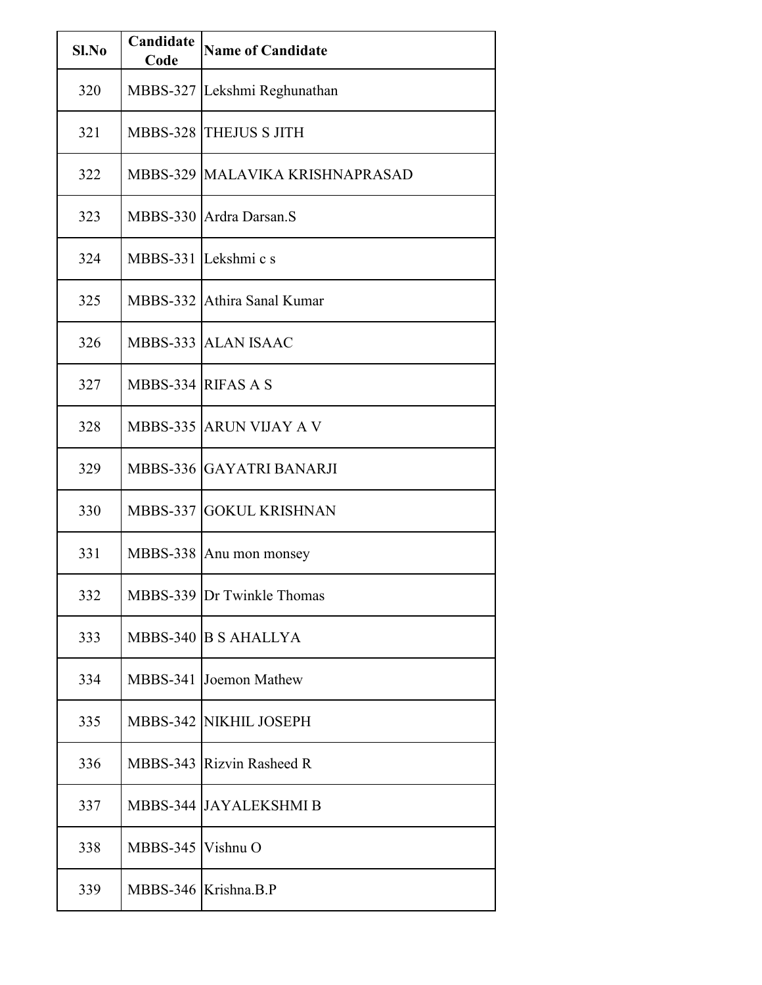| Sl.No | Candidate<br>Code  | <b>Name of Candidate</b>          |
|-------|--------------------|-----------------------------------|
| 320   |                    | MBBS-327 Lekshmi Reghunathan      |
| 321   |                    | MBBS-328 THEJUS S JITH            |
| 322   |                    | MBBS-329   MALAVIKA KRISHNAPRASAD |
| 323   |                    | MBBS-330 Ardra Darsan.S           |
| 324   |                    | MBBS-331 Lekshmi c s              |
| 325   |                    | MBBS-332 Athira Sanal Kumar       |
| 326   |                    | MBBS-333 ALAN ISAAC               |
| 327   | MBBS-334 RIFAS A S |                                   |
| 328   |                    | <b>MBBS-335 ARUN VIJAY A V</b>    |
| 329   |                    | MBBS-336 GAYATRI BANARJI          |
| 330   |                    | MBBS-337 GOKUL KRISHNAN           |
| 331   |                    | MBBS-338 Anu mon monsey           |
| 332   |                    | MBBS-339 Dr Twinkle Thomas        |
| 333   |                    | MBBS-340 B S AHALLYA              |
| 334   |                    | MBBS-341 Joemon Mathew            |
| 335   |                    | MBBS-342 NIKHIL JOSEPH            |
| 336   |                    | MBBS-343 Rizvin Rasheed R         |
| 337   |                    | MBBS-344 JAYALEKSHMI B            |
| 338   | MBBS-345 Vishnu O  |                                   |
| 339   |                    | MBBS-346 Krishna.B.P              |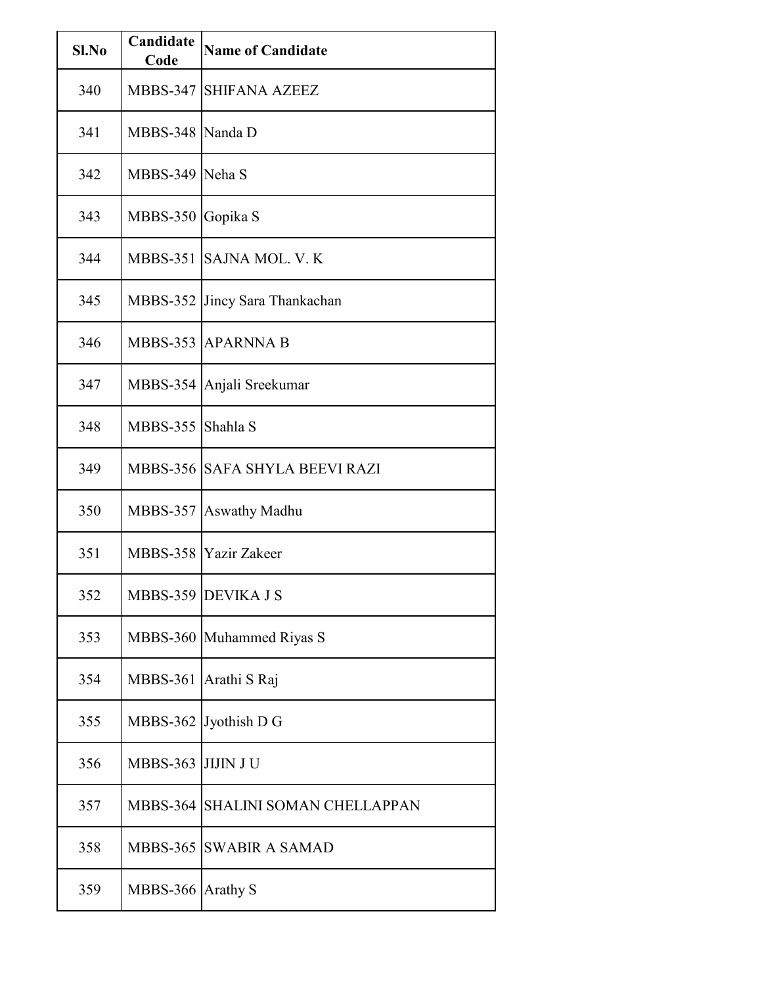| $Sl$ . No | Candidate<br>Code | <b>Name of Candidate</b>          |
|-----------|-------------------|-----------------------------------|
| 340       | <b>MBBS-347</b>   | <b>SHIFANA AZEEZ</b>              |
| 341       | MBBS-348 Nanda D  |                                   |
| 342       | MBBS-349 Neha S   |                                   |
| 343       | <b>MBBS-350</b>   | Gopika S                          |
| 344       |                   | MBBS-351 SAJNA MOL. V. K          |
| 345       | <b>MBBS-352</b>   | Jincy Sara Thankachan             |
| 346       |                   | MBBS-353 APARNNA B                |
| 347       |                   | MBBS-354 Anjali Sreekumar         |
| 348       | MBBS-355 Shahla S |                                   |
| 349       |                   | MBBS-356 SAFA SHYLA BEEVI RAZI    |
| 350       | <b>MBBS-357</b>   | Aswathy Madhu                     |
| 351       |                   | MBBS-358 Yazir Zakeer             |
| 352       |                   | MBBS-359 DEVIKA J S               |
| 353       |                   | MBBS-360 Muhammed Riyas S         |
| 354       | <b>MBBS-361</b>   | Arathi S Raj                      |
| 355       |                   | MBBS-362 Jyothish D G             |
| 356       | <b>MBBS-363</b>   | <b>JIJIN JU</b>                   |
| 357       |                   | MBBS-364 SHALINI SOMAN CHELLAPPAN |
| 358       |                   | <b>MBBS-365 SWABIR A SAMAD</b>    |
| 359       | MBBS-366 Arathy S |                                   |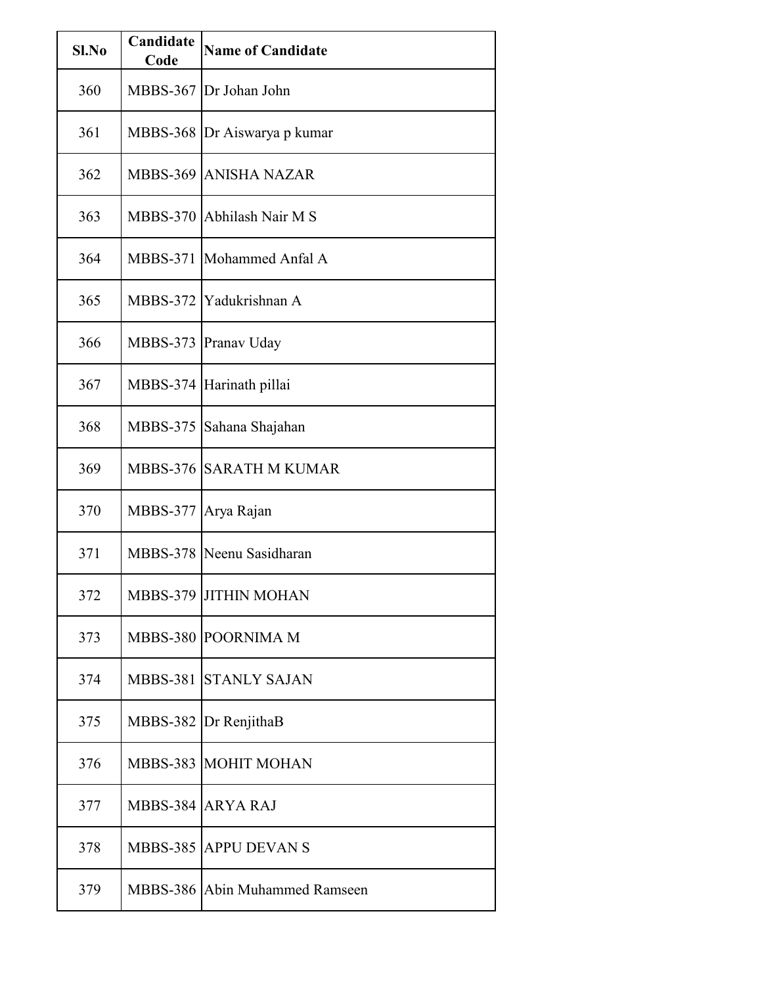| Sl.No | Candidate<br>Code | <b>Name of Candidate</b>       |
|-------|-------------------|--------------------------------|
| 360   |                   | MBBS-367 Dr Johan John         |
| 361   |                   | MBBS-368 Dr Aiswarya p kumar   |
| 362   |                   | MBBS-369 ANISHA NAZAR          |
| 363   | <b>MBBS-370</b>   | Abhilash Nair M S              |
| 364   | <b>MBBS-371</b>   | Mohammed Anfal A               |
| 365   | <b>MBBS-372</b>   | Yadukrishnan A                 |
| 366   | <b>MBBS-373</b>   | Pranav Uday                    |
| 367   | <b>MBBS-374</b>   | Harinath pillai                |
| 368   | <b>MBBS-375</b>   | Sahana Shajahan                |
| 369   |                   | <b>MBBS-376 SARATH M KUMAR</b> |
| 370   | <b>MBBS-377</b>   | Arya Rajan                     |
| 371   |                   | MBBS-378 Neenu Sasidharan      |
| 372   |                   | MBBS-379 JITHIN MOHAN          |
| 373   |                   | MBBS-380 POORNIMA M            |
| 374   |                   | MBBS-381 STANLY SAJAN          |
| 375   |                   | MBBS-382 Dr RenjithaB          |
| 376   |                   | MBBS-383 MOHIT MOHAN           |
| 377   |                   | MBBS-384 ARYA RAJ              |
| 378   |                   | MBBS-385 APPU DEVAN S          |
| 379   |                   | MBBS-386 Abin Muhammed Ramseen |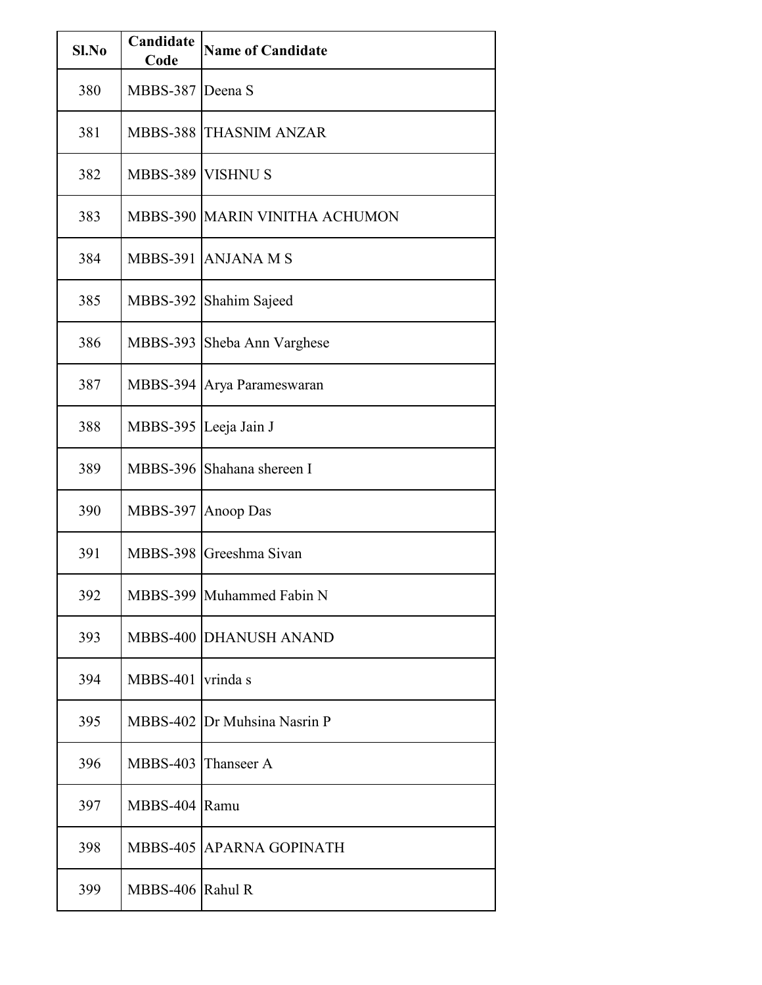| Sl.No | Candidate<br>Code | <b>Name of Candidate</b>       |
|-------|-------------------|--------------------------------|
| 380   | <b>MBBS-387</b>   | Deena S                        |
| 381   | <b>MBBS-388</b>   | <b>THASNIM ANZAR</b>           |
| 382   | <b>MBBS-389</b>   | <b>VISHNU S</b>                |
| 383   |                   | MBBS-390 MARIN VINITHA ACHUMON |
| 384   | <b>MBBS-391</b>   | <b>ANJANA M S</b>              |
| 385   | <b>MBBS-392</b>   | Shahim Sajeed                  |
| 386   | <b>MBBS-393</b>   | Sheba Ann Varghese             |
| 387   |                   | MBBS-394 Arya Parameswaran     |
| 388   | <b>MBBS-395</b>   | Leeja Jain J                   |
| 389   | <b>MBBS-396</b>   | Shahana shereen I              |
| 390   | <b>MBBS-397</b>   | Anoop Das                      |
| 391   | <b>MBBS-398</b>   | Greeshma Sivan                 |
| 392   |                   | MBBS-399 Muhammed Fabin N      |
| 393   |                   | MBBS-400 DHANUSH ANAND         |
| 394   | <b>MBBS-401</b>   | vrinda s                       |
| 395   |                   | MBBS-402 Dr Muhsina Nasrin P   |
| 396   | <b>MBBS-403</b>   | Thanseer A                     |
| 397   | <b>MBBS-404</b>   | Ramu                           |
| 398   |                   | MBBS-405 APARNA GOPINATH       |
| 399   | MBBS-406 Rahul R  |                                |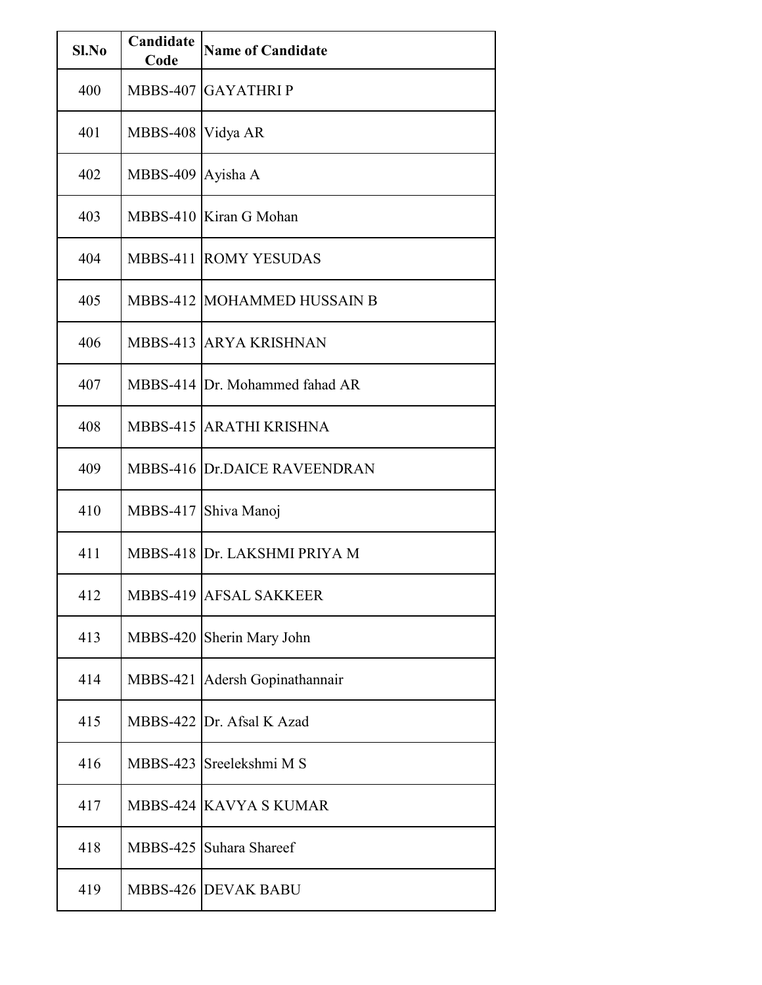| Sl.No | Candidate<br>Code   | <b>Name of Candidate</b>       |
|-------|---------------------|--------------------------------|
| 400   |                     | MBBS-407 GAYATHRIP             |
| 401   | MBBS-408   Vidya AR |                                |
| 402   | MBBS-409 Ayisha A   |                                |
| 403   |                     | MBBS-410 Kiran G Mohan         |
| 404   |                     | <b>MBBS-411 ROMY YESUDAS</b>   |
| 405   |                     | MBBS-412 MOHAMMED HUSSAIN B    |
| 406   |                     | MBBS-413 ARYA KRISHNAN         |
| 407   |                     | MBBS-414 Dr. Mohammed fahad AR |
| 408   |                     | MBBS-415 ARATHI KRISHNA        |
| 409   |                     | MBBS-416 Dr.DAICE RAVEENDRAN   |
| 410   |                     | MBBS-417 Shiva Manoj           |
| 411   |                     | MBBS-418 Dr. LAKSHMI PRIYA M   |
| 412   |                     | MBBS-419 AFSAL SAKKEER         |
| 413   |                     | MBBS-420 Sherin Mary John      |
| 414   | <b>MBBS-421</b>     | Adersh Gopinathannair          |
| 415   |                     | MBBS-422 Dr. Afsal K Azad      |
| 416   |                     | MBBS-423 Sreelekshmi M S       |
| 417   |                     | MBBS-424 KAVYA S KUMAR         |
| 418   |                     | MBBS-425 Suhara Shareef        |
| 419   |                     | <b>MBBS-426 DEVAK BABU</b>     |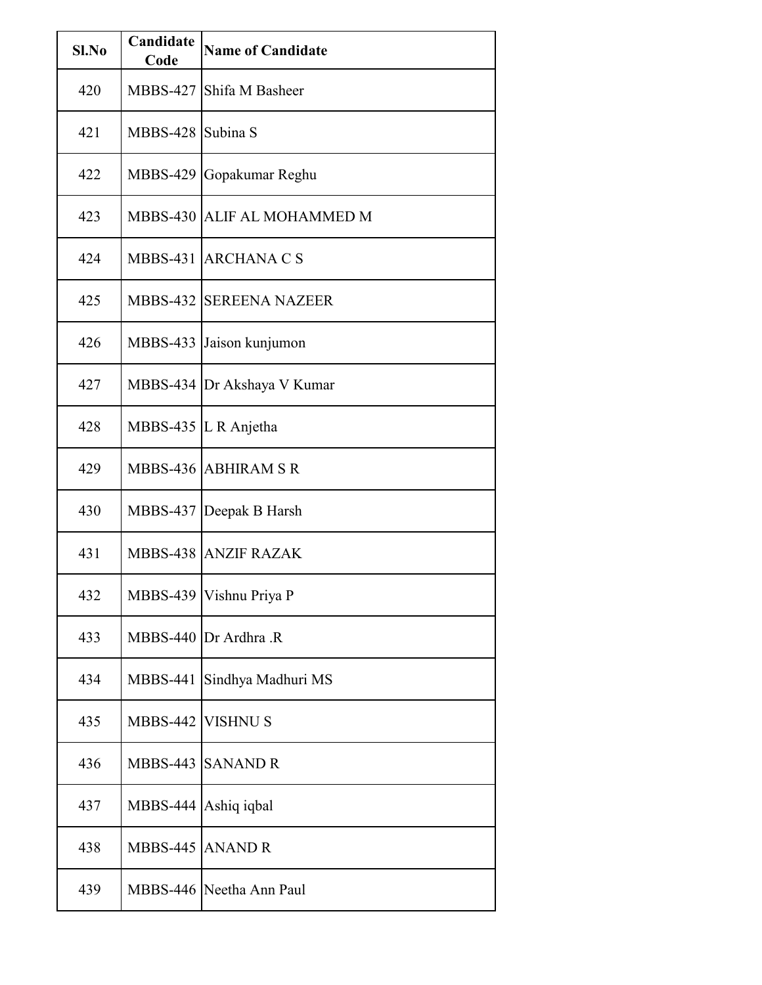| $SL$ No | Candidate<br>Code | <b>Name of Candidate</b>       |
|---------|-------------------|--------------------------------|
| 420     |                   | MBBS-427 Shifa M Basheer       |
| 421     | MBBS-428 Subina S |                                |
| 422     |                   | MBBS-429 Gopakumar Reghu       |
| 423     |                   | MBBS-430 ALLIF AL MOHAMMED M   |
| 424     |                   | MBBS-431 ARCHANA C S           |
| 425     |                   | <b>MBBS-432 SEREENA NAZEER</b> |
| 426     |                   | MBBS-433 Jaison kunjumon       |
| 427     |                   | MBBS-434 Dr Akshaya V Kumar    |
| 428     |                   | MBBS-435 L R Anjetha           |
| 429     |                   | MBBS-436 ABHIRAM SR            |
| 430     |                   | MBBS-437 Deepak B Harsh        |
| 431     |                   | MBBS-438 ANZIF RAZAK           |
| 432     |                   | MBBS-439   Vishnu Priya P      |
| 433     |                   | MBBS-440 Dr Ardhra .R          |
| 434     | <b>MBBS-441</b>   | Sindhya Madhuri MS             |
| 435     | MBBS-442 VISHNUS  |                                |
| 436     | <b>MBBS-443</b>   | <b>SANAND R</b>                |
| 437     | MBBS-444          | Ashiq iqbal                    |
| 438     | MBBS-445 ANAND R  |                                |
| 439     |                   | MBBS-446 Neetha Ann Paul       |